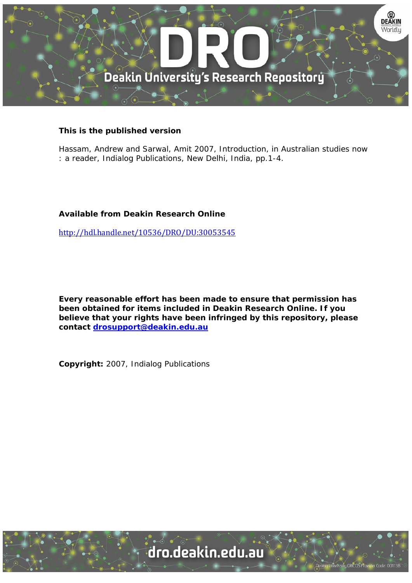

## **This is the published version**

Hassam, Andrew and Sarwal, Amit 2007, Introduction, in Australian studies now : a reader, Indialog Publications, New Delhi, India, pp.1-4.

## **Available from Deakin Research Online**

http://hdl.handle.net/10536/DRO/DU:30053545

**Every reasonable effort has been made to ensure that permission has been obtained for items included in Deakin Research Online. If you believe that your rights have been infringed by this repository, please contact drosupport@deakin.edu.au** 

**Copyright:** 2007, Indialog Publications

dro.deakin.edu.au

University CRICOS Provider Code: 00113E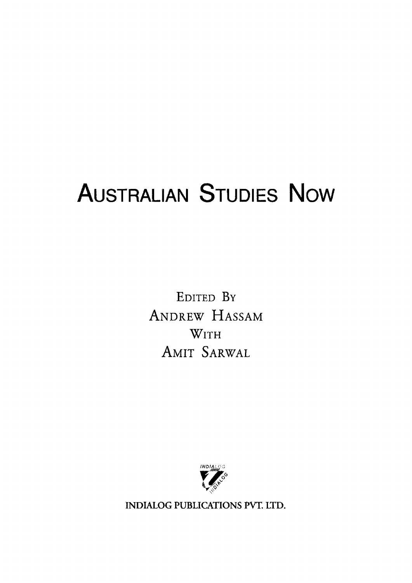## **AusTRALIAN STUDIES Now**

EDITED BY ANDREW HASSAM WITH AMIT SARWAL



INDIALOG PUBLICATIONS PVT. LTD.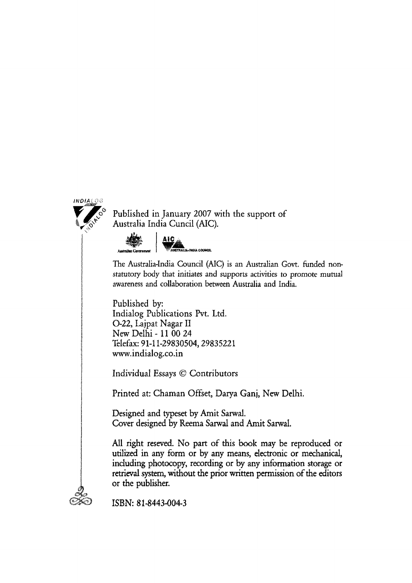

Published in January 2007 with the support of Australia India Cuncil (AIC).



The Australia-India Council (AIC) is an Australian Govt. funded nonstatutory body that initiates and supports activities to promote mutual awareness and collaboration between Australia and India.

Published by: Indialog Publications Pvt. Ltd. 0-22, Lajpat Nagar II New Delhi- 11 00 24 Telefax: 91-11-29830504,29835221 www.indialog.co.in

Individual Essays © Contributors

Printed at: Chaman Offset, Darya Ganj, New Delhi.

Designed and typeset by Amit Sarwal. Cover designed by Reema Sarwal and Amit Sarwal.

All right reseved. No part of this book may be reproduced or utilized in any form or by any means, electronic or mechanical, including photocopy, recording or by any information storage or retrieval system, without the prior written permission of the editors or the publisher.



ISBN: 81-8443-004-3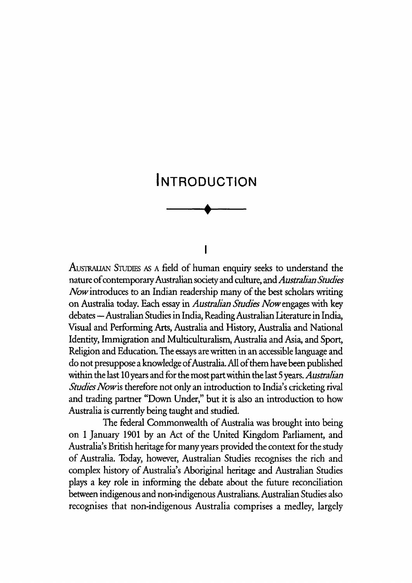

 $\overline{\mathbf{I}}$ 

AUSTRALIAN STUDIES AS A field of human enquiry seeks to understand the nature of contemporary Australian society and culture, and *Australian Studies Now* introduces to an Indian readership many of the best scholars writing on Australia today. Each essay in *Australian Studies Now* engages with key debates -Australian Studies in India, Reading Australian Literature in India, Visual and Performing Arts, Australia and History, Australia and National Identity, Immigration and Multiculturalism, Australia and Asia, and Sport, Religion and Education. The essays are written in an accessible language and do not presuppose a knowledge of Australia. All of them have been published within the last 10 years and for the most part within the last 5 years. *Australian Studies Nowis* therefore not only an introduction to India's cricketing rival and trading partner "Down Under," but it is also an introduction to how Australia is currently being taught and studied.

The federal Commonwealth of Australia was brought into being on 1 January 1901 by an Act of the United Kingdom Parliament, and Australia's British heritage for many years provided the context for the study of Australia. Today, however, Australian Studies recognises the rich and complex history of Australia's Aboriginal heritage and Australian Studies plays a key role in informing the debate about the future reconciliation between indigenous and non-indigenous Australians. Australian Studies also recognises that non-indigenous Australia comprises a medley, largely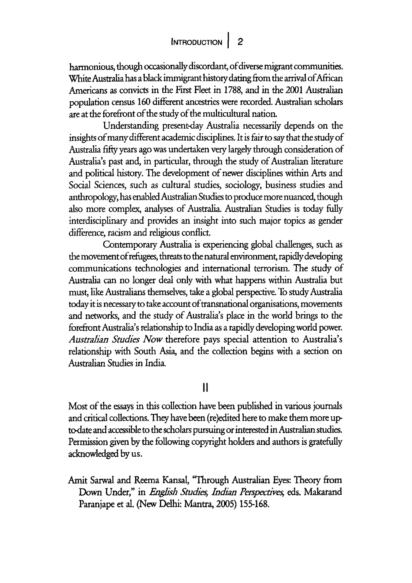harmonious, though occasionally discordant, of diverse migrant communities. White Australia has a black immigrant history dating from the arrival of African Americans as convicts in the First Fleet in 1788, and in the 2001 Australian population census 160 different ancestries were recorded. Australian scholars are at the forefront of the study of the multicultural nation.

Understanding present-day Australia necessarily depends on the insights of many different academic disciplines. It is fair to say that the study of Australia fifty years ago was undertaken very largely through consideration of Australia's past and, in particular, through the study of Australian literature and political history. The development of newer disciplines within Arts and Social Sciences, such as cultural studies, sociology, business studies and anthropology, has enabled Australian Studies to produce more nuanced, though also more complex, analyses of Australia. Australian Studies is today fully interdisciplinary and provides an insight into such major topics as gender difference, racism and religious conflict.

Contemporary Australia is experiencing global challenges, such as the movement of refugees, threats to the natural environment, rapidly developing communications technologies and international terrorism. The study of Australia can no longer deal only with what happens within Australia but must, like Australians themselves, take a global perspective. To study Australia today it is necessary to take account of transnational organisations, movements and networks, and the study of Australia's place in the world brings to the forefront Australia's relationship to India as a rapidly developing world power. *Australian Studies Now* therefore pays special attention to Australia's relationship with South Asia, and the collection begins with a section on Australian Studies in India.

II

Most of the essays in this collection have been published in various journals and critical collections. They have been (re)edited here to make them more upto-date and accessible to the scholars pursuing or interested in Australian studies. Permission given by the following copyright holders and authors is gratefully acknowledged by us.

Amit Sarwal and Reema Kansal, 'Through Australian Eyes: Theory from Down Under," in *English Studies, Indian Perspectives*, eds. Makarand Paranjape et al. (New Delhi: Mantra, 2005) 155-168.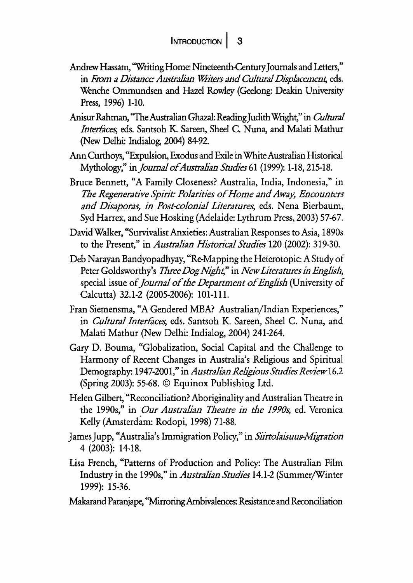- Andrew Hassam, 'Writing Home: Nineteenth-Century Journals and Letters," in *From a Distance: Australian Writers and Cultural Displacement*, eds. Wenche Ommundsen and Hazel Rowley (Geelong: Deakin University Press, 1996) 1-10.
- Anisur Rahman, 'The Australian Ghazal: ReadingJudith Wright," in *Cultural Interfaces, eds. Santsoh K. Sareen, Sheel C. Nuna, and Malati Mathur* (New Delhi: Indialog, 2004) 8492.
- Ann Curthoys, "Expulsion, Exodus and Exile in White Australian Historical Mythology," *injoumal of Australian Studies* 61 (1999): 1-18, 215-18.
- Bruce Bennett, "A Family Closeness? Australia, India, Indonesia," in *The Regenerative Spirit: Polarities of Home and Away, Encounters and Disaporas, in Post-colonial Literatures*, eds. Nena Bierbaum, Syd Harrex, and Sue Hosking (Adelaide: Lythrum Press, 2003) 57-67.
- David Walker, "Survivalist Anxieties: Australian Responses to Asia, 1890s to the Present," in *Australian Historical Studies* 120 (2002): 319-30.
- Deb Narayan Bandyopadhyay, "Re-Mapping the Heterotopic: A Study of Peter Goldsworthy's *1bree Dog Night,"* in *New Literatures in English,*  special issue of *journal of the Department of English* (University of Calcutta) 32.1-2 (2005-2006): 101-111.
- Fran Siemensma, "A Gendered MBA? Australian/Indian Experiences," in *Cultural Interfaces*, eds. Santsoh K. Sareen, Sheel C. Nuna, and Malati Mathur (New Delhi: Indialog, 2004) 241-264.
- Gary D. Bouma, "Globalization, Social Capital and the Challenge to Harmony of Recent Changes in Australia's Religious and Spiritual Demography: 1947-2001," in *Australian Religious Studies Review* 16.2 (Spring 2003): 55-68. © Equinox Publishing Ltd.
- Helen Gilbert, "Reconciliation? Aboriginality and Australian Theatre in the 1990s," in *Our Australian Theatre in the 1990s,* ed. Veronica Kelly (Amsterdam: Rodopi, 1998) 71-88.
- James Jupp, "Australia's Immigration Policy," in *Siirtolaisuus-Afigration*  4 (2003): 14-18.
- Lisa French, "Patterns of Production and Policy: The Australian Film Industry in the 1990s," in *A\_ustralian Studies* 14.1-2 (Summer/Winter 1999): 15-36.
- Makarand Paranjape, "Mirroring Ambivalences: Resistance and Reconciliation